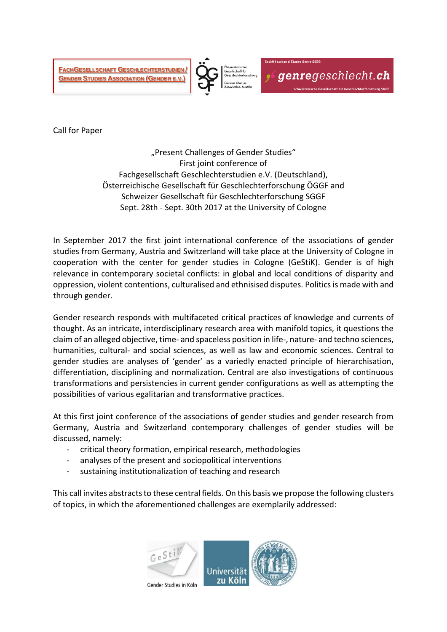**FACHGESELLSCHAFT GESCHLECHTERSTUDIEN / GENDER STUDIES ASSOCIATION (GENDER E.V.)**



genregeschlecht.ch

Call for Paper

"Present Challenges of Gender Studies" First joint conference of Fachgesellschaft Geschlechterstudien e.V. (Deutschland), Österreichische Gesellschaft für Geschlechterforschung ÖGGF and Schweizer Gesellschaft für Geschlechterforschung SGGF Sept. 28th - Sept. 30th 2017 at the University of Cologne

In September 2017 the first joint international conference of the associations of gender studies from Germany, Austria and Switzerland will take place at the University of Cologne in cooperation with the center for gender studies in Cologne (GeStiK). Gender is of high relevance in contemporary societal conflicts: in global and local conditions of disparity and oppression, violent contentions, culturalised and ethnisised disputes. Politics is made with and through gender.

Gender research responds with multifaceted critical practices of knowledge and currents of thought. As an intricate, interdisciplinary research area with manifold topics, it questions the claim of an alleged objective, time- and spaceless position in life-, nature- and techno sciences, humanities, cultural- and social sciences, as well as law and economic sciences. Central to gender studies are analyses of 'gender' as a variedly enacted principle of hierarchisation, differentiation, disciplining and normalization. Central are also investigations of continuous transformations and persistencies in current gender configurations as well as attempting the possibilities of various egalitarian and transformative practices.

At this first joint conference of the associations of gender studies and gender research from Germany, Austria and Switzerland contemporary challenges of gender studies will be discussed, namely:

- critical theory formation, empirical research, methodologies
- analyses of the present and sociopolitical interventions
- sustaining institutionalization of teaching and research

This call invites abstracts to these central fields. On this basis we propose the following clusters of topics, in which the aforementioned challenges are exemplarily addressed: